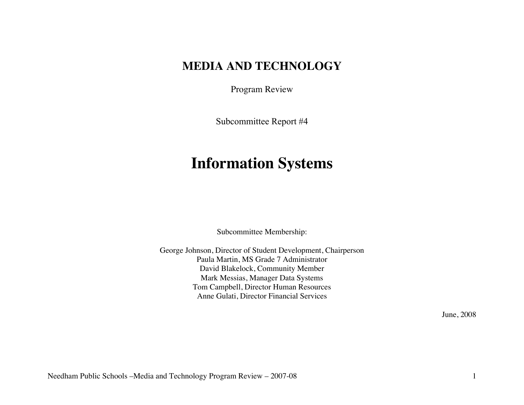# **MEDIA AND TECHNOLOGY**

Program Review

Subcommittee Report #4

# **Information Systems**

Subcommittee Membership:

George Johnson, Director of Student Development, Chairperson Paula Martin, MS Grade 7 Administrator David Blakelock, Community Member Mark Messias, Manager Data Systems Tom Campbell, Director Human Resources Anne Gulati, Director Financial Services

June, 2008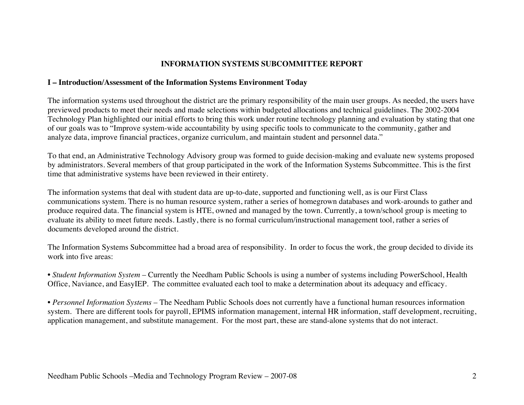#### **INFORMATION SYSTEMS SUBCOMMITTEE REPORT**

#### **I – Introduction/Assessment of the Information Systems Environment Today**

The information systems used throughout the district are the primary responsibility of the main user groups. As needed, the users have previewed products to meet their needs and made selections within budgeted allocations and technical guidelines. The 2002-2004 Technology Plan highlighted our initial efforts to bring this work under routine technology planning and evaluation by stating that one of our goals was to "Improve system-wide accountability by using specific tools to communicate to the community, gather and analyze data, improve financial practices, organize curriculum, and maintain student and personnel data."

To that end, an Administrative Technology Advisory group was formed to guide decision-making and evaluate new systems proposed by administrators. Several members of that group participated in the work of the Information Systems Subcommittee. This is the first time that administrative systems have been reviewed in their entirety.

The information systems that deal with student data are up-to-date, supported and functioning well, as is our First Class communications system. There is no human resource system, rather a series of homegrown databases and work-arounds to gather and produce required data. The financial system is HTE, owned and managed by the town. Currently, a town/school group is meeting to evaluate its ability to meet future needs. Lastly, there is no formal curriculum/instructional management tool, rather a series of documents developed around the district.

The Information Systems Subcommittee had a broad area of responsibility. In order to focus the work, the group decided to divide its work into five areas:

• *Student Information System* – Currently the Needham Public Schools is using a number of systems including PowerSchool, Health Office, Naviance, and EasyIEP. The committee evaluated each tool to make a determination about its adequacy and efficacy.

• *Personnel Information Systems* – The Needham Public Schools does not currently have a functional human resources information system. There are different tools for payroll, EPIMS information management, internal HR information, staff development, recruiting, application management, and substitute management. For the most part, these are stand-alone systems that do not interact.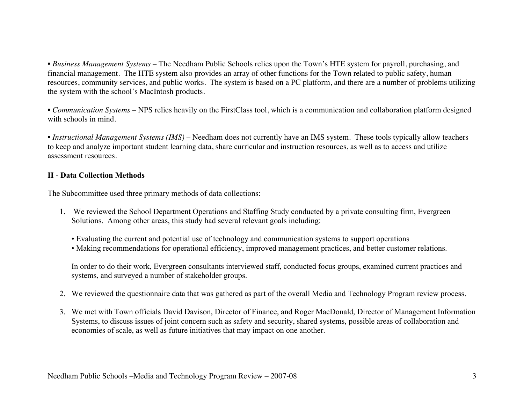• *Business Management Systems* – The Needham Public Schools relies upon the Town's HTE system for payroll, purchasing, and financial management. The HTE system also provides an array of other functions for the Town related to public safety, human resources, community services, and public works. The system is based on a PC platform, and there are a number of problems utilizing the system with the school's MacIntosh products.

• *Communication Systems* – NPS relies heavily on the FirstClass tool, which is a communication and collaboration platform designed with schools in mind.

• *Instructional Management Systems (IMS)* – Needham does not currently have an IMS system. These tools typically allow teachers to keep and analyze important student learning data, share curricular and instruction resources, as well as to access and utilize assessment resources.

#### **II - Data Collection Methods**

The Subcommittee used three primary methods of data collections:

- 1. We reviewed the School Department Operations and Staffing Study conducted by a private consulting firm, Evergreen Solutions. Among other areas, this study had several relevant goals including:
	- Evaluating the current and potential use of technology and communication systems to support operations
	- Making recommendations for operational efficiency, improved management practices, and better customer relations.

In order to do their work, Evergreen consultants interviewed staff, conducted focus groups, examined current practices and systems, and surveyed a number of stakeholder groups.

- 2. We reviewed the questionnaire data that was gathered as part of the overall Media and Technology Program review process.
- 3. We met with Town officials David Davison, Director of Finance, and Roger MacDonald, Director of Management Information Systems, to discuss issues of joint concern such as safety and security, shared systems, possible areas of collaboration and economies of scale, as well as future initiatives that may impact on one another.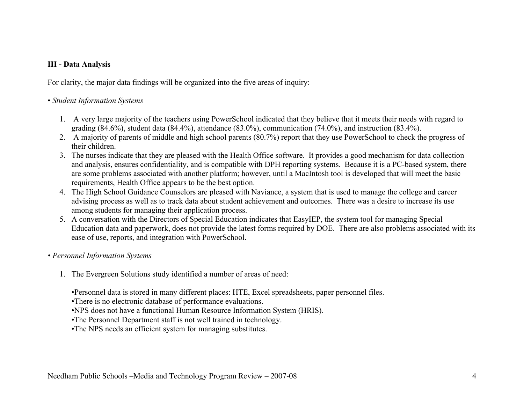#### **III - Data Analysis**

For clarity, the major data findings will be organized into the five areas of inquiry:

#### • *Student Information Systems*

- 1. A very large majority of the teachers using PowerSchool indicated that they believe that it meets their needs with regard to grading (84.6%), student data (84.4%), attendance (83.0%), communication (74.0%), and instruction (83.4%).
- 2. A majority of parents of middle and high school parents (80.7%) report that they use PowerSchool to check the progress of their children.
- 3. The nurses indicate that they are pleased with the Health Office software. It provides a good mechanism for data collection and analysis, ensures confidentiality, and is compatible with DPH reporting systems. Because it is a PC-based system, there are some problems associated with another platform; however, until a MacIntosh tool is developed that will meet the basic requirements, Health Office appears to be the best option.
- 4. The High School Guidance Counselors are pleased with Naviance, a system that is used to manage the college and career advising process as well as to track data about student achievement and outcomes. There was a desire to increase its use among students for managing their application process.
- 5. A conversation with the Directors of Special Education indicates that EasyIEP, the system tool for managing Special Education data and paperwork, does not provide the latest forms required by DOE. There are also problems associated with its ease of use, reports, and integration with PowerSchool.
- *Personnel Information Systems*
	- 1. The Evergreen Solutions study identified a number of areas of need:

•Personnel data is stored in many different places: HTE, Excel spreadsheets, paper personnel files.

•There is no electronic database of performance evaluations.

•NPS does not have a functional Human Resource Information System (HRIS).

•The Personnel Department staff is not well trained in technology.

•The NPS needs an efficient system for managing substitutes.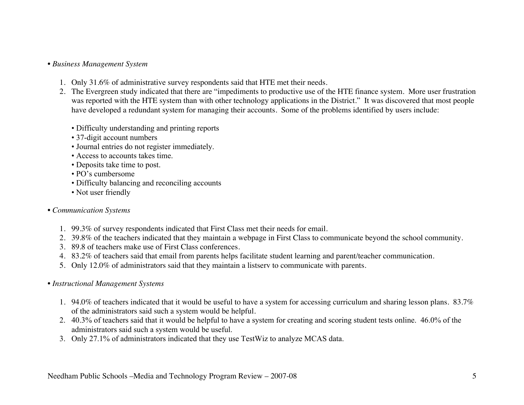#### • *Business Management System*

- 1. Only 31.6% of administrative survey respondents said that HTE met their needs.
- 2. The Evergreen study indicated that there are "impediments to productive use of the HTE finance system. More user frustration was reported with the HTE system than with other technology applications in the District." It was discovered that most people have developed a redundant system for managing their accounts. Some of the problems identified by users include:
	- Difficulty understanding and printing reports
	- 37-digit account numbers
	- Journal entries do not register immediately.
	- Access to accounts takes time.
	- Deposits take time to post.
	- PO's cumbersome
	- Difficulty balancing and reconciling accounts
	- Not user friendly

#### • *Communication Systems*

- 1. 99.3% of survey respondents indicated that First Class met their needs for email.
- 2. 39.8% of the teachers indicated that they maintain a webpage in First Class to communicate beyond the school community.
- 3. 89.8 of teachers make use of First Class conferences.
- 4. 83.2% of teachers said that email from parents helps facilitate student learning and parent/teacher communication.
- 5. Only 12.0% of administrators said that they maintain a listserv to communicate with parents.

#### • *Instructional Management Systems*

- 1. 94.0% of teachers indicated that it would be useful to have a system for accessing curriculum and sharing lesson plans. 83.7% of the administrators said such a system would be helpful.
- 2. 40.3% of teachers said that it would be helpful to have a system for creating and scoring student tests online. 46.0% of the administrators said such a system would be useful.
- 3. Only 27.1% of administrators indicated that they use TestWiz to analyze MCAS data.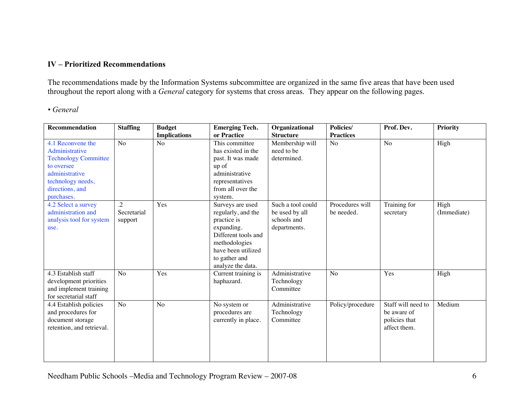#### **IV – Prioritized Recommendations**

The recommendations made by the Information Systems subcommittee are organized in the same five areas that have been used throughout the report along with a *General* category for systems that cross areas. They appear on the following pages.

#### *• General*

| <b>Recommendation</b>                                                                                                                                    | <b>Staffing</b>              | <b>Budget</b>       | <b>Emerging Tech.</b>                                                                                                                                                   | Organizational                                                     | Policies/                     | Prof. Dev.                                                         | <b>Priority</b>     |
|----------------------------------------------------------------------------------------------------------------------------------------------------------|------------------------------|---------------------|-------------------------------------------------------------------------------------------------------------------------------------------------------------------------|--------------------------------------------------------------------|-------------------------------|--------------------------------------------------------------------|---------------------|
|                                                                                                                                                          |                              | <b>Implications</b> | or Practice                                                                                                                                                             | <b>Structure</b>                                                   | <b>Practices</b>              |                                                                    |                     |
| 4.1 Reconvene the<br>Administrative<br><b>Technology Committee</b><br>to oversee<br>administrative<br>technology needs,<br>directions, and<br>purchases. | N <sub>o</sub>               | No                  | This committee<br>has existed in the<br>past. It was made<br>up of<br>administrative<br>representatives<br>from all over the<br>system.                                 | Membership will<br>need to be<br>determined.                       | N <sub>o</sub>                | No                                                                 | High                |
| 4.2 Select a survey<br>administration and<br>analysis tool for system<br>use.                                                                            | .2<br>Secretarial<br>support | Yes                 | Surveys are used<br>regularly, and the<br>practice is<br>expanding.<br>Different tools and<br>methodologies<br>have been utilized<br>to gather and<br>analyze the data. | Such a tool could<br>be used by all<br>schools and<br>departments. | Procedures will<br>be needed. | Training for<br>secretary                                          | High<br>(Immediate) |
| 4.3 Establish staff<br>development priorities<br>and implement training<br>for secretarial staff                                                         | N <sub>o</sub>               | Yes                 | Current training is<br>haphazard.                                                                                                                                       | Administrative<br>Technology<br>Committee                          | N <sub>o</sub>                | Yes                                                                | High                |
| 4.4 Establish policies<br>and procedures for<br>document storage<br>retention, and retrieval.                                                            | $\overline{No}$              | N <sub>o</sub>      | No system or<br>procedures are<br>currently in place.                                                                                                                   | Administrative<br>Technology<br>Committee                          | Policy/procedure              | Staff will need to<br>be aware of<br>policies that<br>affect them. | Medium              |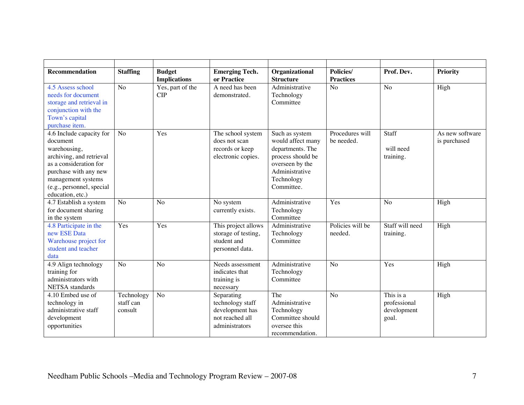| <b>Recommendation</b>                        | <b>Staffing</b> | <b>Budget</b><br><b>Implications</b> | <b>Emerging Tech.</b><br>or Practice | Policies/<br>Organizational<br><b>Structure</b><br><b>Practices</b> |                  | Prof. Dev.      | <b>Priority</b> |
|----------------------------------------------|-----------------|--------------------------------------|--------------------------------------|---------------------------------------------------------------------|------------------|-----------------|-----------------|
| 4.5 Assess school                            | No              | Yes, part of the                     | A need has been                      | Administrative                                                      | N <sub>o</sub>   | N <sub>o</sub>  | High            |
| needs for document                           |                 | <b>CIP</b>                           | demonstrated.                        | Technology                                                          |                  |                 |                 |
| storage and retrieval in                     |                 |                                      |                                      | Committee                                                           |                  |                 |                 |
| conjunction with the                         |                 |                                      |                                      |                                                                     |                  |                 |                 |
| Town's capital                               |                 |                                      |                                      |                                                                     |                  |                 |                 |
| purchase item.                               |                 |                                      |                                      |                                                                     |                  |                 |                 |
| 4.6 Include capacity for                     | N <sub>o</sub>  | Yes                                  | The school system                    | Such as system                                                      | Procedures will  | Staff           | As new software |
| document                                     |                 |                                      | does not scan                        | would affect many                                                   | be needed.       |                 | is purchased    |
| warehousing,                                 |                 |                                      | records or keep                      | departments. The                                                    |                  | will need       |                 |
| archiving, and retrieval                     |                 |                                      | electronic copies.                   | process should be                                                   |                  | training.       |                 |
| as a consideration for                       |                 |                                      |                                      | overseen by the                                                     |                  |                 |                 |
| purchase with any new                        |                 |                                      |                                      | Administrative                                                      |                  |                 |                 |
| management systems                           |                 |                                      |                                      | Technology                                                          |                  |                 |                 |
| (e.g., personnel, special                    |                 |                                      |                                      | Committee.                                                          |                  |                 |                 |
| education, etc.)                             |                 |                                      |                                      |                                                                     |                  |                 |                 |
| 4.7 Establish a system                       | N <sub>o</sub>  | N <sub>o</sub>                       | No system                            | Administrative                                                      | Yes              | N <sub>o</sub>  | High            |
| for document sharing                         |                 |                                      | currently exists.                    | Technology                                                          |                  |                 |                 |
| in the system                                |                 |                                      |                                      | Committee                                                           |                  |                 |                 |
| 4.8 Participate in the                       | Yes             | Yes                                  | This project allows                  | Administrative                                                      | Policies will be | Staff will need | High            |
| new ESE Data                                 |                 |                                      | storage of testing,                  | Technology<br>Committee                                             | needed.          | training.       |                 |
| Warehouse project for<br>student and teacher |                 |                                      | student and                          |                                                                     |                  |                 |                 |
| data                                         |                 |                                      | personnel data.                      |                                                                     |                  |                 |                 |
| 4.9 Align technology                         | N <sub>o</sub>  | No                                   | Needs assessment                     | Administrative                                                      | No               | Yes             | High            |
| training for                                 |                 |                                      | indicates that                       | Technology                                                          |                  |                 |                 |
| administrators with                          |                 |                                      | training is                          | Committee                                                           |                  |                 |                 |
| NETSA standards                              |                 |                                      | necessary                            |                                                                     |                  |                 |                 |
| 4.10 Embed use of                            | Technology      | No                                   | Separating                           | The                                                                 | N <sub>o</sub>   | This is a       | High            |
| technology in                                | staff can       |                                      | technology staff                     | Administrative                                                      |                  | professional    |                 |
| administrative staff                         | consult         |                                      | development has                      | Technology                                                          |                  | development     |                 |
| development                                  |                 |                                      | not reached all                      | Committee should                                                    |                  | goal.           |                 |
| opportunities                                |                 |                                      | administrators                       | oversee this                                                        |                  |                 |                 |
|                                              |                 |                                      |                                      | recommendation.                                                     |                  |                 |                 |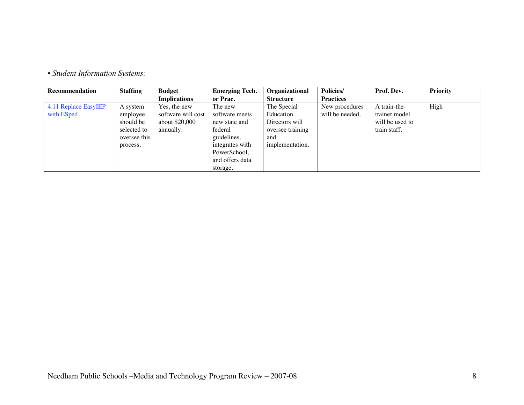• *Student Information Systems:*

| <b>Recommendation</b>              | <b>Staffing</b>                                                              | <b>Budget</b>                                                     | <b>Emerging Tech.</b>                                                                                                                  | <b>Organizational</b>                                                                    | <b>Policies/</b>                  | Prof. Dev.                                                       | <b>Priority</b> |
|------------------------------------|------------------------------------------------------------------------------|-------------------------------------------------------------------|----------------------------------------------------------------------------------------------------------------------------------------|------------------------------------------------------------------------------------------|-----------------------------------|------------------------------------------------------------------|-----------------|
|                                    |                                                                              | <b>Implications</b>                                               | or Prac.                                                                                                                               | <b>Structure</b>                                                                         | <b>Practices</b>                  |                                                                  |                 |
| 4.11 Replace EasyIEP<br>with ESped | A system<br>employee<br>should be<br>selected to<br>oversee this<br>process. | Yes, the new<br>software will cost<br>about \$20,000<br>annually. | The new<br>software meets<br>new state and<br>federal<br>guidelines,<br>integrates with<br>PowerSchool,<br>and offers data<br>storage. | The Special<br>Education<br>Directors will<br>oversee training<br>and<br>implementation. | New procedures<br>will be needed. | A train-the-<br>trainer model<br>will be used to<br>train staff. | High            |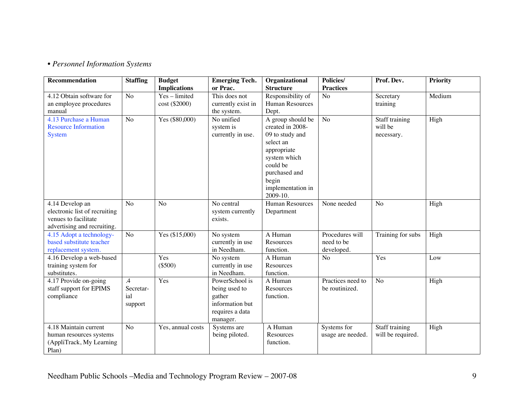## • *Personnel Information Systems*

| <b>Recommendation</b>                                | <b>Staffing</b> | <b>Budget</b>       | <b>Emerging Tech.</b>           | Organizational         | Policies/         | Prof. Dev.        | <b>Priority</b> |
|------------------------------------------------------|-----------------|---------------------|---------------------------------|------------------------|-------------------|-------------------|-----------------|
|                                                      |                 | <b>Implications</b> | or Prac.                        | <b>Structure</b>       | <b>Practices</b>  |                   |                 |
| 4.12 Obtain software for                             | N <sub>o</sub>  | Yes-limited         | This does not                   | Responsibility of      | No                | Secretary         | Medium          |
| an employee procedures                               |                 | cost (\$2000)       | currently exist in              | Human Resources        |                   | training          |                 |
| manual                                               |                 |                     | the system.                     | Dept.                  |                   |                   |                 |
| 4.13 Purchase a Human                                | N <sub>o</sub>  | Yes (\$80,000)      | No unified                      | A group should be      | N <sub>o</sub>    | Staff training    | High            |
| <b>Resource Information</b>                          |                 |                     | system is                       | created in 2008-       |                   | will be           |                 |
| <b>System</b>                                        |                 |                     | currently in use.               | 09 to study and        |                   | necessary.        |                 |
|                                                      |                 |                     |                                 | select an              |                   |                   |                 |
|                                                      |                 |                     |                                 | appropriate            |                   |                   |                 |
|                                                      |                 |                     |                                 | system which           |                   |                   |                 |
|                                                      |                 |                     |                                 | could be               |                   |                   |                 |
|                                                      |                 |                     |                                 | purchased and          |                   |                   |                 |
|                                                      |                 |                     |                                 | begin                  |                   |                   |                 |
|                                                      |                 |                     |                                 | implementation in      |                   |                   |                 |
|                                                      |                 |                     |                                 | 2009-10.               |                   |                   |                 |
| 4.14 Develop an                                      | N <sub>o</sub>  | No                  | $\overline{N}$ o central        | <b>Human Resources</b> | None needed       | N <sub>o</sub>    | High            |
| electronic list of recruiting                        |                 |                     | system currently                | Department             |                   |                   |                 |
| venues to facilitate                                 |                 |                     | exists.                         |                        |                   |                   |                 |
| advertising and recruiting.                          | N <sub>o</sub>  |                     |                                 | A Human                | Procedures will   |                   |                 |
| 4.15 Adopt a technology-<br>based substitute teacher |                 | Yes (\$15,000)      | No system                       | Resources              | need to be        | Training for subs | High            |
|                                                      |                 |                     | currently in use<br>in Needham. | function.              | developed.        |                   |                 |
| replacement system.<br>4.16 Develop a web-based      |                 | Yes                 | No system                       | A Human                | No                | Yes               | Low             |
| training system for                                  |                 | $(\$500)$           | currently in use                | Resources              |                   |                   |                 |
| substitutes.                                         |                 |                     | in Needham.                     | function.              |                   |                   |                 |
| 4.17 Provide on-going                                | $\mathcal{A}$   | Yes                 | PowerSchool is                  | A Human                | Practices need to | N <sub>o</sub>    | High            |
| staff support for EPIMS                              | Secretar-       |                     | being used to                   | Resources              | be routinized.    |                   |                 |
| compliance                                           | ial             |                     | gather                          | function.              |                   |                   |                 |
|                                                      | support         |                     | information but                 |                        |                   |                   |                 |
|                                                      |                 |                     | requires a data                 |                        |                   |                   |                 |
|                                                      |                 |                     | manager.                        |                        |                   |                   |                 |
| 4.18 Maintain current                                | N <sub>o</sub>  | Yes, annual costs   | Systems are                     | A Human                | Systems for       | Staff training    | High            |
| human resources systems                              |                 |                     | being piloted.                  | Resources              | usage are needed. | will be required. |                 |
| (AppliTrack, My Learning                             |                 |                     |                                 | function.              |                   |                   |                 |
| Plan)                                                |                 |                     |                                 |                        |                   |                   |                 |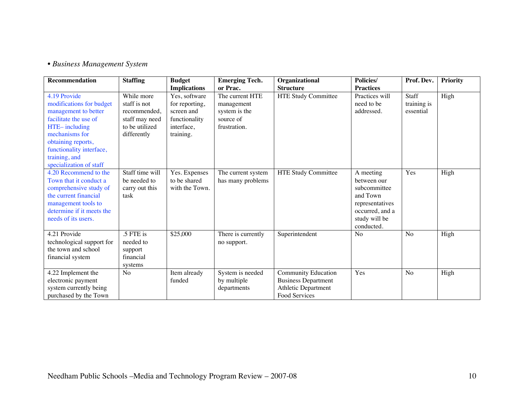## • *Business Management System*

| <b>Recommendation</b>     | <b>Staffing</b> | <b>Budget</b>       | <b>Emerging Tech.</b> | Organizational             | Policies/        | Prof. Dev.     | <b>Priority</b> |
|---------------------------|-----------------|---------------------|-----------------------|----------------------------|------------------|----------------|-----------------|
|                           |                 | <b>Implications</b> | or Prac.              | <b>Structure</b>           | <b>Practices</b> |                |                 |
| 4.19 Provide              | While more      | Yes, software       | The current HTE       | <b>HTE Study Committee</b> | Practices will   | <b>Staff</b>   | High            |
| modifications for budget  | staff is not    | for reporting,      | management            |                            | need to be       | training is    |                 |
| management to better      | recommended.    | screen and          | system is the         |                            | addressed.       | essential      |                 |
| facilitate the use of     | staff may need  | functionality       | source of             |                            |                  |                |                 |
| HTE-including             | to be utilized  | interface.          | frustration.          |                            |                  |                |                 |
| mechanisms for            | differently     | training.           |                       |                            |                  |                |                 |
| obtaining reports,        |                 |                     |                       |                            |                  |                |                 |
| functionality interface,  |                 |                     |                       |                            |                  |                |                 |
| training, and             |                 |                     |                       |                            |                  |                |                 |
| specialization of staff   |                 |                     |                       |                            |                  |                |                 |
| 4.20 Recommend to the     | Staff time will | Yes. Expenses       | The current system    | HTE Study Committee        | A meeting        | Yes            | High            |
| Town that it conduct a    | be needed to    | to be shared        | has many problems     |                            | between our      |                |                 |
| comprehensive study of    | carry out this  | with the Town.      |                       |                            | subcommittee     |                |                 |
| the current financial     | task            |                     |                       |                            | and Town         |                |                 |
| management tools to       |                 |                     |                       |                            | representatives  |                |                 |
| determine if it meets the |                 |                     |                       |                            | occurred, and a  |                |                 |
| needs of its users.       |                 |                     |                       |                            | study will be    |                |                 |
|                           |                 |                     |                       |                            | conducted.       |                |                 |
| 4.21 Provide              | .5 FTE is       | \$25,000            | There is currently    | Superintendent             | No               | No             | High            |
| technological support for | needed to       |                     | no support.           |                            |                  |                |                 |
| the town and school       | support         |                     |                       |                            |                  |                |                 |
| financial system          | financial       |                     |                       |                            |                  |                |                 |
|                           | systems         |                     |                       |                            |                  |                |                 |
| 4.22 Implement the        | No              | Item already        | System is needed      | Community Education        | Yes              | N <sub>0</sub> | High            |
| electronic payment        |                 | funded              | by multiple           | <b>Business Department</b> |                  |                |                 |
| system currently being    |                 |                     | departments           | <b>Athletic Department</b> |                  |                |                 |
| purchased by the Town     |                 |                     |                       | Food Services              |                  |                |                 |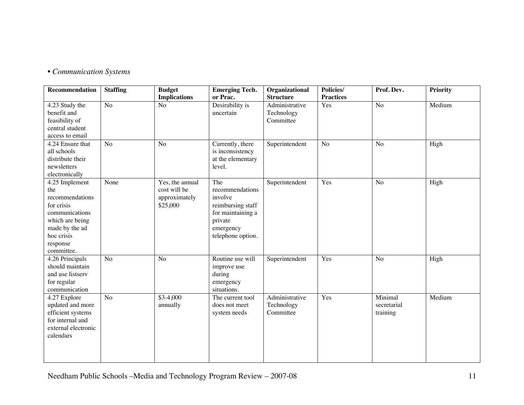# • *Communication Systems*

| Recommendation                                                                                                                                        | <b>Staffing</b> | <b>Budget</b><br><b>Implications</b>                         | <b>Emerging Tech.</b><br>or Prac.                                                                                        | Organizational<br><b>Structure</b>        | Policies/<br><b>Practices</b> | Prof. Dev.                         | <b>Priority</b> |
|-------------------------------------------------------------------------------------------------------------------------------------------------------|-----------------|--------------------------------------------------------------|--------------------------------------------------------------------------------------------------------------------------|-------------------------------------------|-------------------------------|------------------------------------|-----------------|
| 4.23 Study the<br>benefit and<br>feasibility of<br>central student<br>access to email                                                                 | N <sub>o</sub>  | N <sub>o</sub>                                               | Desirability is<br>uncertain                                                                                             | Administrative<br>Technology<br>Committee | Yes                           | N <sub>o</sub>                     | Medium          |
| 4.24 Ensure that<br>all schools<br>distribute their<br>newsletters<br>electronically                                                                  | N <sub>o</sub>  | No                                                           | Currently, there<br>is inconsistency<br>at the elementary<br>level.                                                      | Superintendent                            | N <sub>o</sub>                | N <sub>o</sub>                     | High            |
| 4.25 Implement<br>the<br>recommendations<br>for crisis<br>communications<br>which are being<br>made by the ad<br>hoc crisis<br>response<br>committee. | None            | Yes, the annual<br>cost will be<br>approximately<br>\$25,000 | The<br>recommendations<br>involve<br>reimbursing staff<br>for maintaining a<br>private<br>emergency<br>telephone option. | Superintendent                            | Yes                           | N <sub>o</sub>                     | High            |
| 4.26 Principals<br>should maintain<br>and use listserv<br>for regular<br>communication                                                                | No              | N <sub>o</sub>                                               | Routine use will<br>improve use<br>during<br>emergency<br>situations.                                                    | Superintendent                            | Yes                           | N <sub>o</sub>                     | High            |
| 4.27 Explore<br>updated and more<br>efficient systems<br>for internal and<br>external electronic<br>calendars                                         | No              | $$3-4,000$<br>annually                                       | The current tool<br>does not meet<br>system needs                                                                        | Administrative<br>Technology<br>Committee | Yes                           | Minimal<br>secretarial<br>training | Medium          |